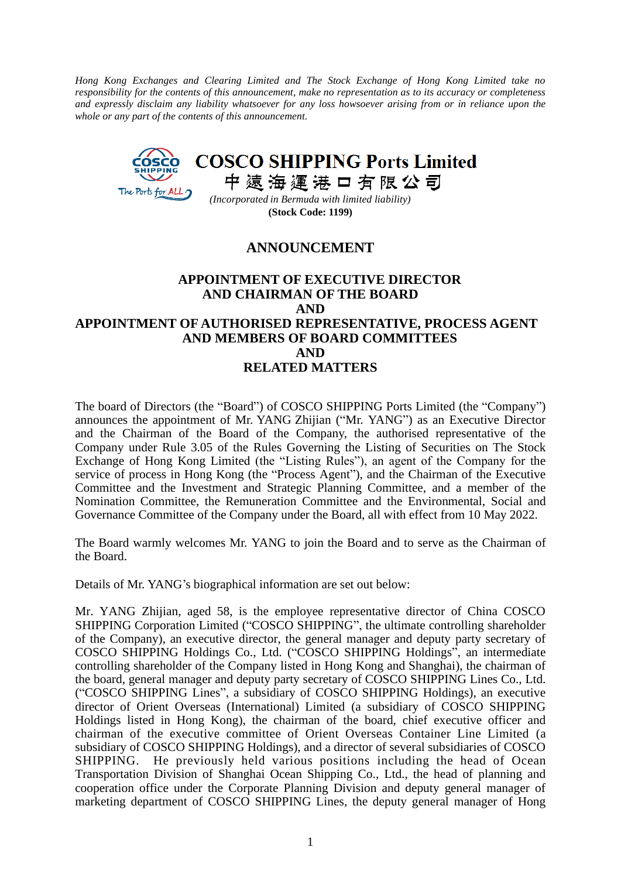*Hong Kong Exchanges and Clearing Limited and The Stock Exchange of Hong Kong Limited take no responsibility for the contents of this announcement, make no representation as to its accuracy or completeness and expressly disclaim any liability whatsoever for any loss howsoever arising from or in reliance upon the whole or any part of the contents of this announcement.*



**(Stock Code: 1199)**

## **ANNOUNCEMENT**

## **APPOINTMENT OF EXECUTIVE DIRECTOR AND CHAIRMAN OF THE BOARD AND APPOINTMENT OF AUTHORISED REPRESENTATIVE, PROCESS AGENT AND MEMBERS OF BOARD COMMITTEES AND RELATED MATTERS**

The board of Directors (the "Board") of COSCO SHIPPING Ports Limited (the "Company") announces the appointment of Mr. YANG Zhijian ("Mr. YANG") as an Executive Director and the Chairman of the Board of the Company, the authorised representative of the Company under Rule 3.05 of the Rules Governing the Listing of Securities on The Stock Exchange of Hong Kong Limited (the "Listing Rules"), an agent of the Company for the service of process in Hong Kong (the "Process Agent"), and the Chairman of the Executive Committee and the Investment and Strategic Planning Committee, and a member of the Nomination Committee, the Remuneration Committee and the Environmental, Social and Governance Committee of the Company under the Board, all with effect from 10 May 2022.

The Board warmly welcomes Mr. YANG to join the Board and to serve as the Chairman of the Board.

Details of Mr. YANG's biographical information are set out below:

Mr. YANG Zhijian, aged 58, is the employee representative director of China COSCO SHIPPING Corporation Limited ("COSCO SHIPPING", the ultimate controlling shareholder of the Company), an executive director, the general manager and deputy party secretary of COSCO SHIPPING Holdings Co., Ltd. ("COSCO SHIPPING Holdings", an intermediate controlling shareholder of the Company listed in Hong Kong and Shanghai), the chairman of the board, general manager and deputy party secretary of COSCO SHIPPING Lines Co., Ltd. ("COSCO SHIPPING Lines", a subsidiary of COSCO SHIPPING Holdings), an executive director of Orient Overseas (International) Limited (a subsidiary of COSCO SHIPPING Holdings listed in Hong Kong), the chairman of the board, chief executive officer and chairman of the executive committee of Orient Overseas Container Line Limited (a subsidiary of COSCO SHIPPING Holdings), and a director of several subsidiaries of COSCO SHIPPING. He previously held various positions including the head of Ocean Transportation Division of Shanghai Ocean Shipping Co., Ltd., the head of planning and cooperation office under the Corporate Planning Division and deputy general manager of marketing department of COSCO SHIPPING Lines, the deputy general manager of Hong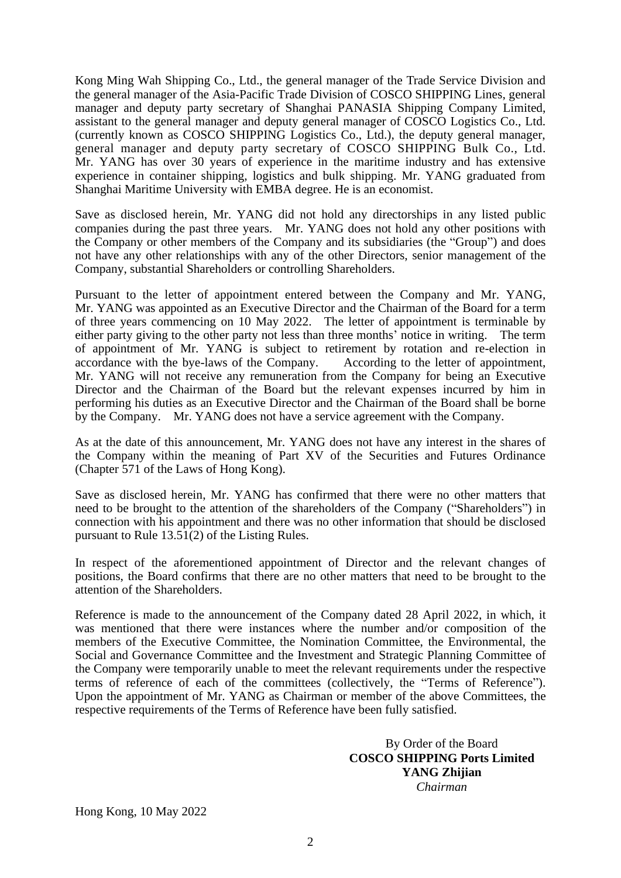Kong Ming Wah Shipping Co., Ltd., the general manager of the Trade Service Division and the general manager of the Asia-Pacific Trade Division of COSCO SHIPPING Lines, general manager and deputy party secretary of Shanghai PANASIA Shipping Company Limited, assistant to the general manager and deputy general manager of COSCO Logistics Co., Ltd. (currently known as COSCO SHIPPING Logistics Co., Ltd.), the deputy general manager, general manager and deputy party secretary of COSCO SHIPPING Bulk Co., Ltd. Mr. YANG has over 30 years of experience in the maritime industry and has extensive experience in container shipping, logistics and bulk shipping. Mr. YANG graduated from Shanghai Maritime University with EMBA degree. He is an economist.

Save as disclosed herein, Mr. YANG did not hold any directorships in any listed public companies during the past three years. Mr. YANG does not hold any other positions with the Company or other members of the Company and its subsidiaries (the "Group") and does not have any other relationships with any of the other Directors, senior management of the Company, substantial Shareholders or controlling Shareholders.

Pursuant to the letter of appointment entered between the Company and Mr. YANG, Mr. YANG was appointed as an Executive Director and the Chairman of the Board for a term of three years commencing on 10 May 2022. The letter of appointment is terminable by either party giving to the other party not less than three months' notice in writing. The term of appointment of Mr. YANG is subject to retirement by rotation and re-election in accordance with the bye-laws of the Company. According to the letter of appointment, Mr. YANG will not receive any remuneration from the Company for being an Executive Director and the Chairman of the Board but the relevant expenses incurred by him in performing his duties as an Executive Director and the Chairman of the Board shall be borne by the Company. Mr. YANG does not have a service agreement with the Company.

As at the date of this announcement, Mr. YANG does not have any interest in the shares of the Company within the meaning of Part XV of the Securities and Futures Ordinance (Chapter 571 of the Laws of Hong Kong).

Save as disclosed herein, Mr. YANG has confirmed that there were no other matters that need to be brought to the attention of the shareholders of the Company ("Shareholders") in connection with his appointment and there was no other information that should be disclosed pursuant to Rule 13.51(2) of the Listing Rules.

In respect of the aforementioned appointment of Director and the relevant changes of positions, the Board confirms that there are no other matters that need to be brought to the attention of the Shareholders.

Reference is made to the announcement of the Company dated 28 April 2022, in which, it was mentioned that there were instances where the number and/or composition of the members of the Executive Committee, the Nomination Committee, the Environmental, the Social and Governance Committee and the Investment and Strategic Planning Committee of the Company were temporarily unable to meet the relevant requirements under the respective terms of reference of each of the committees (collectively, the "Terms of Reference"). Upon the appointment of Mr. YANG as Chairman or member of the above Committees, the respective requirements of the Terms of Reference have been fully satisfied.

> By Order of the Board **COSCO SHIPPING Ports Limited YANG Zhijian** *Chairman*

Hong Kong, 10 May 2022